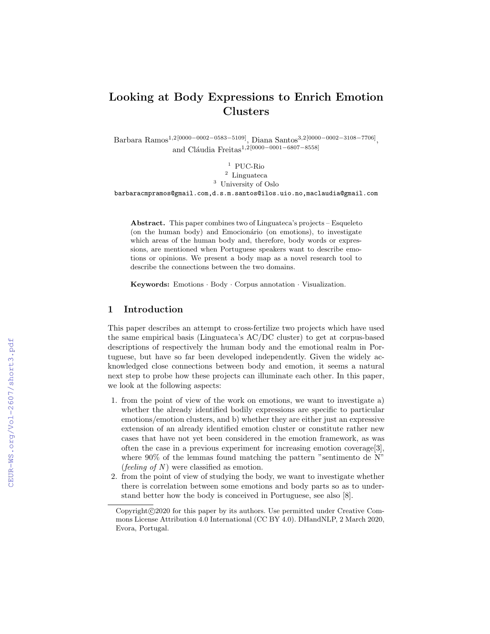# Looking at Body Expressions to Enrich Emotion Clusters

Barbara Ramos<sup>1,2</sup>[0000−0002−0583−5109], Diana Santos<sup>3,2</sup>[0000−0002−3108−7706], and Cláudia Freitas<sup>1,2[0000–0001–6807–8558]</sup>

 $^{\rm 1}$  PUC-Rio <sup>2</sup> Linguateca <sup>3</sup> University of Oslo barbaracmpramos@gmail.com,d.s.m.santos@ilos.uio.no,maclaudia@gmail.com

Abstract. This paper combines two of Linguateca's projects – Esqueleto (on the human body) and Emocionário (on emotions), to investigate which areas of the human body and, therefore, body words or expressions, are mentioned when Portuguese speakers want to describe emotions or opinions. We present a body map as a novel research tool to describe the connections between the two domains.

Keywords: Emotions · Body · Corpus annotation · Visualization.

# 1 Introduction

This paper describes an attempt to cross-fertilize two projects which have used the same empirical basis (Linguateca's AC/DC cluster) to get at corpus-based descriptions of respectively the human body and the emotional realm in Portuguese, but have so far been developed independently. Given the widely acknowledged close connections between body and emotion, it seems a natural next step to probe how these projects can illuminate each other. In this paper, we look at the following aspects:

- 1. from the point of view of the work on emotions, we want to investigate a) whether the already identified bodily expressions are specific to particular emotions/emotion clusters, and b) whether they are either just an expressive extension of an already identified emotion cluster or constitute rather new cases that have not yet been considered in the emotion framework, as was often the case in a previous experiment for increasing emotion coverage[3], where 90% of the lemmas found matching the pattern "sentimento de N" (*feeling of N*) were classified as emotion.
- 2. from the point of view of studying the body, we want to investigate whether there is correlation between some emotions and body parts so as to understand better how the body is conceived in Portuguese, see also [8].

Copyright@2020 for this paper by its authors. Use permitted under Creative Commons License Attribution 4.0 International (CC BY 4.0). DHandNLP, 2 March 2020, Evora, Portugal.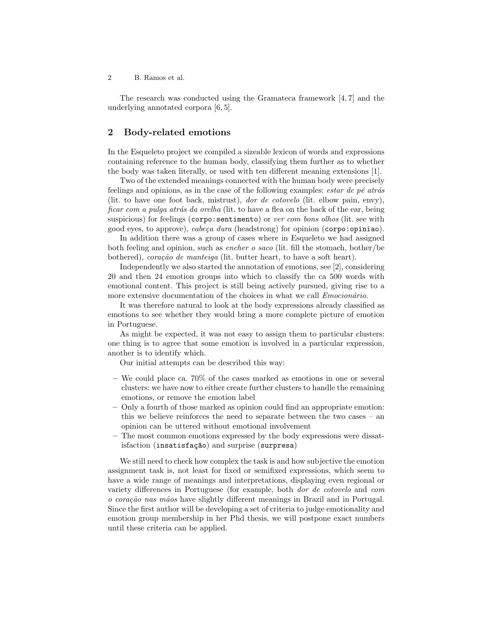2 B. Ramos et al.

The research was conducted using the Gramateca framework [4, 7] and the underlying annotated corpora [6, 5].

## 2 Body-related emotions

In the Esqueleto project we compiled a sizeable lexicon of words and expressions containing reference to the human body, classifying them further as to whether the body was taken literally, or used with ten different meaning extensions [1].

Two of the extended meanings connected with the human body were precisely feelings and opinions, as in the case of the following examples: *estar de pé atrás* (lit. to have one foot back, mistrust), dor de cotovelo (lit. elbow pain, envy), ficar com a pulga atrás da orelha (lit. to have a flea on the back of the ear, being suspicious) for feelings (corpo: sentimento) or ver com bons olhos (lit. see with good eyes, to approve), cabeça dura (headstrong) for opinion (corpo:opiniao).

In addition there was a group of cases where in Esqueleto we had assigned both feeling and opinion, such as encher o saco (lit. fill the stomach, bother/be bothered), coração de manteiga (lit. butter heart, to have a soft heart).

Independently we also started the annotation of emotions, see [2], considering 20 and then 24 emotion groups into which to classify the ca 500 words with emotional content. This project is still being actively pursued, giving rise to a more extensive documentation of the choices in what we call *Emocionário*.

It was therefore natural to look at the body expressions already classified as emotions to see whether they would bring a more complete picture of emotion in Portuguese.

As might be expected, it was not easy to assign them to particular clusters: one thing is to agree that some emotion is involved in a particular expression, another is to identify which.

Our initial attempts can be described this way:

- We could place ca. 70% of the cases marked as emotions in one or several clusters: we have now to either create further clusters to handle the remaining emotions, or remove the emotion label
- Only a fourth of those marked as opinion could find an appropriate emotion: this we believe reinforces the need to separate between the two cases – an opinion can be uttered without emotional involvement
- The most common emotions expressed by the body expressions were dissatisfaction (insatisfação) and surprise (surpresa)

We still need to check how complex the task is and how subjective the emotion assignment task is, not least for fixed or semifixed expressions, which seem to have a wide range of meanings and interpretations, displaying even regional or variety differences in Portuguese (for example, both dor de cotovelo and com o coração nas mãos have slightly different meanings in Brazil and in Portugal. Since the first author will be developing a set of criteria to judge emotionality and emotion group membership in her Phd thesis, we will postpone exact numbers until these criteria can be applied.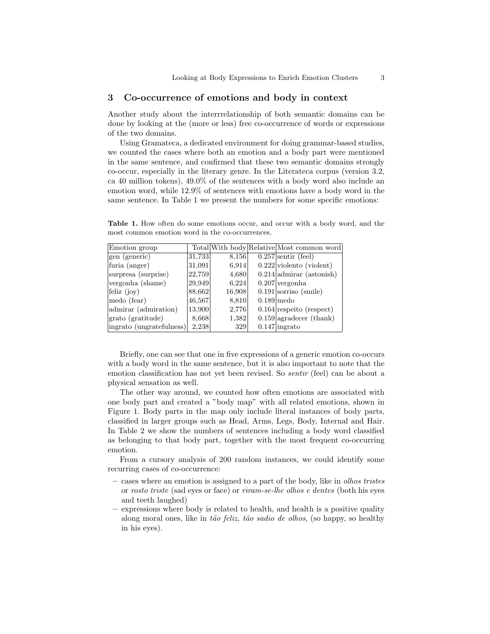#### 3 Co-occurrence of emotions and body in context

Another study about the interrrelationship of both semantic domains can be done by looking at the (more or less) free co-occurrence of words or expressions of the two domains.

Using Gramateca, a dedicated environment for doing grammar-based studies, we counted the cases where both an emotion and a body part were mentioned in the same sentence, and confirmed that these two semantic domains strongly co-occur, especially in the literary genre. In the Literateca corpus (version 3.2, ca 40 million tokens), 49.0% of the sentences with a body word also include an emotion word, while 12.9% of sentences with emotions have a body word in the same sentence. In Table 1 we present the numbers for some specific emotions:

Table 1. How often do some emotions occur, and occur with a body word, and the most common emotion word in the co-occurrences.

| Emotion group            |        |        | Total With body Relative Most common word |
|--------------------------|--------|--------|-------------------------------------------|
| gen (generic)            | 31,733 | 8,156  | $0.257$ sentir (feel)                     |
| furia (anger)            | 31,091 | 6,914  | $0.222$ violento (violent)                |
| surpresa (surprise)      | 22,759 | 4,680  | $0.214$ admirar (astonish)                |
| vergonha (shame)         | 29,949 | 6.224  | $0.207$ vergonha                          |
| feliz $(ioy)$            | 88,662 | 16,908 | $0.191$ sorriso (smile)                   |
| medo (fear)              | 46,567 | 8,810  | $0.189$ medo                              |
| admirar (admiration)     | 13,900 | 2,776  | $0.164$ respect (respect)                 |
| grato (gratitude)        | 8,668  | 1,382  | $0.159$ agradecer (thank)                 |
| ingrato (ungratefulness) | 2,238  | 329    | $0.147$ ingrato                           |

Briefly, one can see that one in five expressions of a generic emotion co-occurs with a body word in the same sentence, but it is also important to note that the emotion classification has not yet been revised. So sentir (feel) can be about a physical sensation as well.

The other way around, we counted how often emotions are associated with one body part and created a "body map" with all related emotions, shown in Figure 1. Body parts in the map only include literal instances of body parts, classified in larger groups such as Head, Arms, Legs, Body, Internal and Hair. In Table 2 we show the numbers of sentences including a body word classified as belonging to that body part, together with the most frequent co-occurring emotion.

From a cursory analysis of 200 random instances, we could identify some recurring cases of co-occurrence:

- cases where an emotion is assigned to a part of the body, like in olhos tristes or rosto triste (sad eyes or face) or riram-se-lhe olhos e dentes (both his eyes and teeth laughed)
- expressions where body is related to health, and health is a positive quality along moral ones, like in tão feliz, tão sadio de olhos, (so happy, so healthy in his eyes).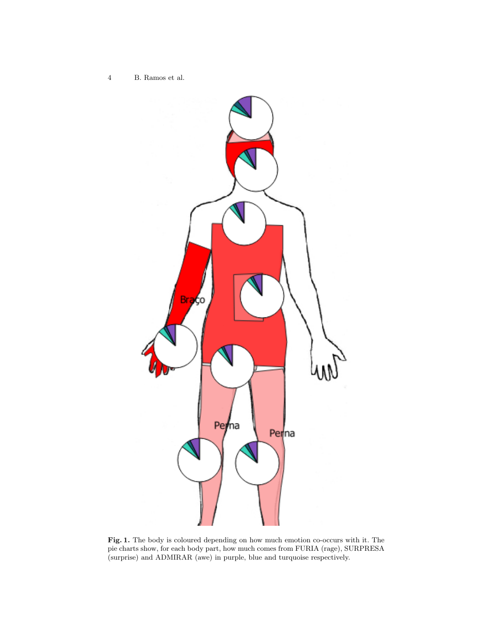4 B. Ramos et al.



Fig. 1. The body is coloured depending on how much emotion co-occurs with it. The pie charts show, for each body part, how much comes from FURIA (rage), SURPRESA (surprise) and ADMIRAR (awe) in purple, blue and turquoise respectively.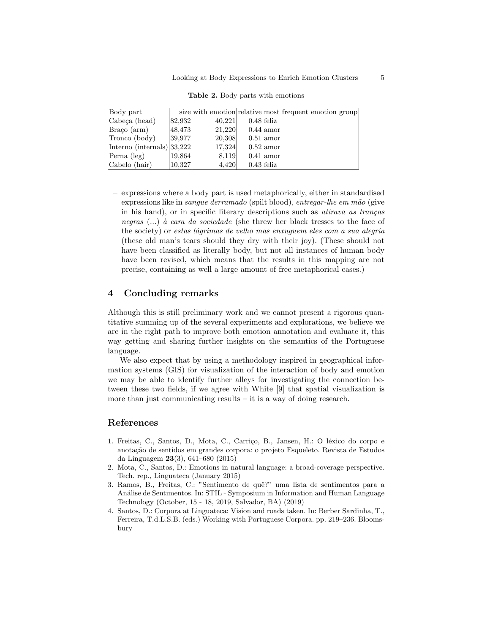| Body part                  |        | size with emotion relative most frequent emotion group |              |             |  |  |
|----------------------------|--------|--------------------------------------------------------|--------------|-------------|--|--|
| Cabeça (head)              | 82,932 | 40.221                                                 | $0.48$ feliz |             |  |  |
| Braco (arm)                | 48,473 | 21,220                                                 |              | $0.44$ amor |  |  |
| Tronco (body)              | 39,977 | 20,308                                                 |              | $0.51$ amor |  |  |
| Interno (internals) 33,222 |        | 17,324                                                 |              | $0.52$ amor |  |  |
| Perna (leg)                | 19,864 | 8,119                                                  |              | $0.41$ amor |  |  |
| Cabelo (hair)              | 10,327 | 4,420                                                  | $0.43$ feliz |             |  |  |

Table 2. Body parts with emotions

– expressions where a body part is used metaphorically, either in standardised expressions like in *sangue derramado* (spilt blood), entregar-lhe em mão (give in his hand), or in specific literary descriptions such as *atirava as tranças* negras  $(...)$  à cara da sociedade (she threw her black tresses to the face of the society) or estas lágrimas de velho mas enxuguem eles com a sua alegría (these old man's tears should they dry with their joy). (These should not have been classified as literally body, but not all instances of human body have been revised, which means that the results in this mapping are not precise, containing as well a large amount of free metaphorical cases.)

### 4 Concluding remarks

Although this is still preliminary work and we cannot present a rigorous quantitative summing up of the several experiments and explorations, we believe we are in the right path to improve both emotion annotation and evaluate it, this way getting and sharing further insights on the semantics of the Portuguese language.

We also expect that by using a methodology inspired in geographical information systems (GIS) for visualization of the interaction of body and emotion we may be able to identify further alleys for investigating the connection between these two fields, if we agree with White [9] that spatial visualization is more than just communicating results  $-$  it is a way of doing research.

#### References

- 1. Freitas, C., Santos, D., Mota, C., Carriço, B., Jansen, H.: O léxico do corpo e anotação de sentidos em grandes corpora: o projeto Esqueleto. Revista de Estudos da Linguagem 23(3), 641–680 (2015)
- 2. Mota, C., Santos, D.: Emotions in natural language: a broad-coverage perspective. Tech. rep., Linguateca (January 2015)
- 3. Ramos, B., Freitas, C.: "Sentimento de quê?" uma lista de sentimentos para a An´alise de Sentimentos. In: STIL - Symposium in Information and Human Language Technology (October, 15 - 18, 2019, Salvador, BA) (2019)
- 4. Santos, D.: Corpora at Linguateca: Vision and roads taken. In: Berber Sardinha, T., Ferreira, T.d.L.S.B. (eds.) Working with Portuguese Corpora. pp. 219–236. Bloomsbury